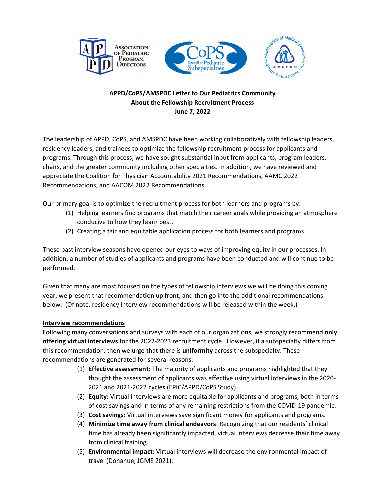





# **APPD/CoPS/AMSPDC Letter to Our Pediatrics Community About the Fellowship Recruitment Process June 7, 2022**

The leadership of APPD, CoPS, and AMSPDC have been working collaboratively with fellowship leaders, residency leaders, and trainees to optimize the fellowship recruitment process for applicants and programs. Through this process, we have sought substantial input from applicants, program leaders, chairs, and the greater community including other specialties. In addition, we have reviewed and appreciate the Coalition for Physician Accountability 2021 Recommendations, AAMC 2022 Recommendations, and AACOM 2022 Recommendations.

Our primary goal is to optimize the recruitment process for both learners and programs by:

- (1) Helping learners find programs that match their career goals while providing an atmosphere conducive to how they learn best.
- (2) Creating a fair and equitable application process for both learners and programs.

These past interview seasons have opened our eyes to ways of improving equity in our processes. In addition, a number of studies of applicants and programs have been conducted and will continue to be performed.

Given that many are most focused on the types of fellowship interviews we will be doing this coming year, we present that recommendation up front, and then go into the additional recommendations below. (Of note, residency interview recommendations will be released within the week.)

# **Interview recommendations**

Following many conversations and surveys with each of our organizations, we strongly recommend **only offering virtual interviews** for the 2022‐2023 recruitment cycle. However, if a subspecialty differs from this recommendation, then we urge that there is **uniformity** across the subspecialty. These recommendations are generated for several reasons:

- (1) **Effective assessment:** The majority of applicants and programs highlighted that they thought the assessment of applicants was effective using virtual interviews in the 2020‐ 2021 and 2021‐2022 cycles (EPIC/APPD/CoPS Study).
- (2) **Equity:** Virtual interviews are more equitable for applicants and programs, both in terms of cost savings and in terms of any remaining restrictions from the COVID‐19 pandemic.
- (3) **Cost savings:** Virtual interviews save significant money for applicants and programs.
- (4) **Minimize time away from clinical endeavors**: Recognizing that our residents' clinical time has already been significantly impacted, virtual interviews decrease their time away from clinical training.
- (5) **Environmental impact:** Virtual interviews will decrease the environmental impact of travel (Donahue, JGME 2021).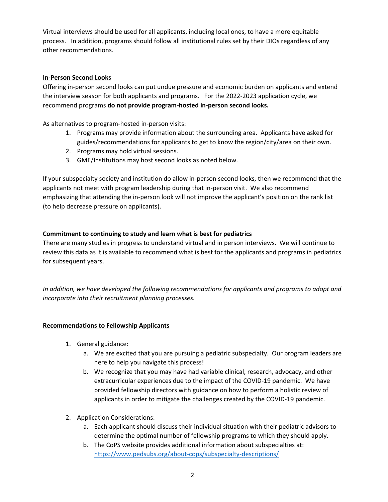Virtual interviews should be used for all applicants, including local ones, to have a more equitable process. In addition, programs should follow all institutional rules set by their DIOs regardless of any other recommendations.

### **In‐Person Second Looks**

Offering in‐person second looks can put undue pressure and economic burden on applicants and extend the interview season for both applicants and programs. For the 2022‐2023 application cycle, we recommend programs **do not provide program‐hosted in‐person second looks.**

As alternatives to program‐hosted in‐person visits:

- 1. Programs may provide information about the surrounding area. Applicants have asked for guides/recommendations for applicants to get to know the region/city/area on their own.
- 2. Programs may hold virtual sessions.
- 3. GME/Institutions may host second looks as noted below.

If your subspecialty society and institution do allow in‐person second looks, then we recommend that the applicants not meet with program leadership during that in‐person visit. We also recommend emphasizing that attending the in‐person look will not improve the applicant's position on the rank list (to help decrease pressure on applicants).

### **Commitment to continuing to study and learn what is best for pediatrics**

There are many studies in progress to understand virtual and in person interviews. We will continue to review this data as it is available to recommend what is best for the applicants and programs in pediatrics for subsequent years.

*In addition, we have developed the following recommendations for applicants and programs to adopt and incorporate into their recruitment planning processes.* 

### **Recommendations to Fellowship Applicants**

- 1. General guidance:
	- a. We are excited that you are pursuing a pediatric subspecialty. Our program leaders are here to help you navigate this process!
	- b. We recognize that you may have had variable clinical, research, advocacy, and other extracurricular experiences due to the impact of the COVID‐19 pandemic. We have provided fellowship directors with guidance on how to perform a holistic review of applicants in order to mitigate the challenges created by the COVID‐19 pandemic.
- 2. Application Considerations:
	- a. Each applicant should discuss their individual situation with their pediatric advisors to determine the optimal number of fellowship programs to which they should apply.
	- b. The CoPS website provides additional information about subspecialties at: https://www.pedsubs.org/about-cops/subspecialty-descriptions/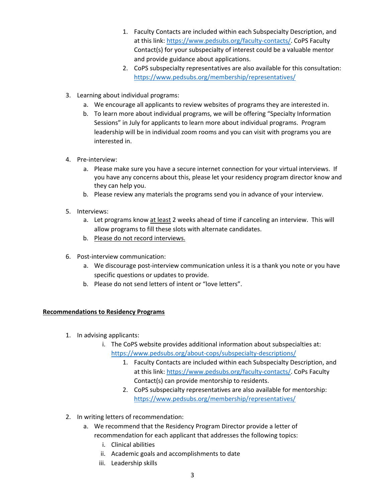- 1. Faculty Contacts are included within each Subspecialty Description, and at this link: https://www.pedsubs.org/faculty‐contacts/. CoPS Faculty Contact(s) for your subspecialty of interest could be a valuable mentor and provide guidance about applications.
- 2. CoPS subspecialty representatives are also available for this consultation: https://www.pedsubs.org/membership/representatives/
- 3. Learning about individual programs:
	- a. We encourage all applicants to review websites of programs they are interested in.
	- b. To learn more about individual programs, we will be offering "Specialty Information Sessions" in July for applicants to learn more about individual programs. Program leadership will be in individual zoom rooms and you can visit with programs you are interested in.
- 4. Pre‐interview:
	- a. Please make sure you have a secure internet connection for your virtual interviews. If you have any concerns about this, please let your residency program director know and they can help you.
	- b. Please review any materials the programs send you in advance of your interview.
- 5. Interviews:
	- a. Let programs know at least 2 weeks ahead of time if canceling an interview. This will allow programs to fill these slots with alternate candidates.
	- b. Please do not record interviews.
- 6. Post‐interview communication:
	- a. We discourage post‐interview communication unless it is a thank you note or you have specific questions or updates to provide.
	- b. Please do not send letters of intent or "love letters".

### **Recommendations to Residency Programs**

- 1. In advising applicants:
	- i. The CoPS website provides additional information about subspecialties at: https://www.pedsubs.org/about‐cops/subspecialty‐descriptions/
		- 1. Faculty Contacts are included within each Subspecialty Description, and at this link: https://www.pedsubs.org/faculty‐contacts/. CoPs Faculty Contact(s) can provide mentorship to residents.
		- 2. CoPS subspecialty representatives are also available for mentorship: https://www.pedsubs.org/membership/representatives/
- 2. In writing letters of recommendation:
	- a. We recommend that the Residency Program Director provide a letter of recommendation for each applicant that addresses the following topics:
		- i. Clinical abilities
		- ii. Academic goals and accomplishments to date
		- iii. Leadership skills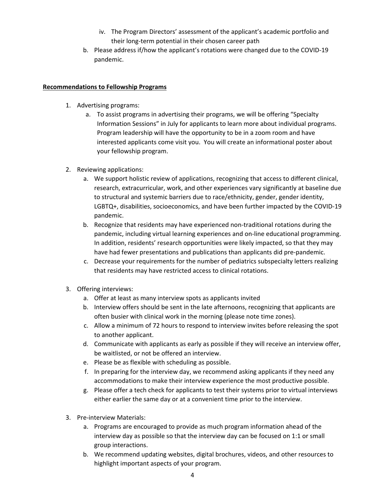- iv. The Program Directors' assessment of the applicant's academic portfolio and their long‐term potential in their chosen career path
- b. Please address if/how the applicant's rotations were changed due to the COVID‐19 pandemic.

# **Recommendations to Fellowship Programs**

- 1. Advertising programs:
	- a. To assist programs in advertising their programs, we will be offering "Specialty Information Sessions" in July for applicants to learn more about individual programs. Program leadership will have the opportunity to be in a zoom room and have interested applicants come visit you. You will create an informational poster about your fellowship program.
- 2. Reviewing applications:
	- a. We support holistic review of applications, recognizing that access to different clinical, research, extracurricular, work, and other experiences vary significantly at baseline due to structural and systemic barriers due to race/ethnicity, gender, gender identity, LGBTQ+, disabilities, socioeconomics, and have been further impacted by the COVID‐19 pandemic.
	- b. Recognize that residents may have experienced non‐traditional rotations during the pandemic, including virtual learning experiences and on‐line educational programming. In addition, residents' research opportunities were likely impacted, so that they may have had fewer presentations and publications than applicants did pre‐pandemic.
	- c. Decrease your requirements for the number of pediatrics subspecialty letters realizing that residents may have restricted access to clinical rotations.
- 3. Offering interviews:
	- a. Offer at least as many interview spots as applicants invited
	- b. Interview offers should be sent in the late afternoons, recognizing that applicants are often busier with clinical work in the morning (please note time zones).
	- c. Allow a minimum of 72 hours to respond to interview invites before releasing the spot to another applicant.
	- d. Communicate with applicants as early as possible if they will receive an interview offer, be waitlisted, or not be offered an interview.
	- e. Please be as flexible with scheduling as possible.
	- f. In preparing for the interview day, we recommend asking applicants if they need any accommodations to make their interview experience the most productive possible.
	- g. Please offer a tech check for applicants to test their systems prior to virtual interviews either earlier the same day or at a convenient time prior to the interview.
- 3. Pre‐interview Materials:
	- a. Programs are encouraged to provide as much program information ahead of the interview day as possible so that the interview day can be focused on 1:1 or small group interactions.
	- b. We recommend updating websites, digital brochures, videos, and other resources to highlight important aspects of your program.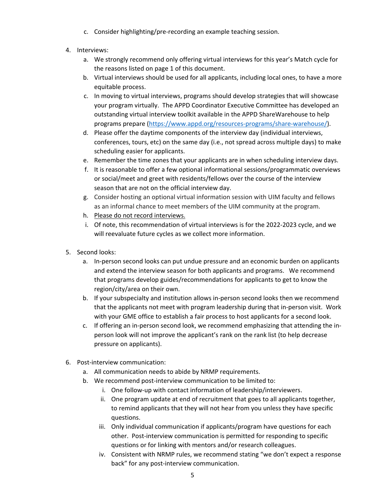- c. Consider highlighting/pre‐recording an example teaching session.
- 4. Interviews:
	- a. We strongly recommend only offering virtual interviews for this year's Match cycle for the reasons listed on page 1 of this document.
	- b. Virtual interviews should be used for all applicants, including local ones, to have a more equitable process.
	- c. In moving to virtual interviews, programs should develop strategies that will showcase your program virtually. The APPD Coordinator Executive Committee has developed an outstanding virtual interview toolkit available in the APPD ShareWarehouse to help programs prepare (https://www.appd.org/resources‐programs/share‐warehouse/).
	- d. Please offer the daytime components of the interview day (individual interviews, conferences, tours, etc) on the same day (i.e., not spread across multiple days) to make scheduling easier for applicants.
	- e. Remember the time zones that your applicants are in when scheduling interview days.
	- f. It is reasonable to offer a few optional informational sessions/programmatic overviews or social/meet and greet with residents/fellows over the course of the interview season that are not on the official interview day.
	- g. Consider hosting an optional virtual information session with UIM faculty and fellows as an informal chance to meet members of the UIM community at the program.
	- h. Please do not record interviews.
	- i. Of note, this recommendation of virtual interviews is for the 2022‐2023 cycle, and we will reevaluate future cycles as we collect more information.
- 5. Second looks:
	- a. In‐person second looks can put undue pressure and an economic burden on applicants and extend the interview season for both applicants and programs. We recommend that programs develop guides/recommendations for applicants to get to know the region/city/area on their own.
	- b. If your subspecialty and institution allows in‐person second looks then we recommend that the applicants not meet with program leadership during that in‐person visit. Work with your GME office to establish a fair process to host applicants for a second look.
	- c. If offering an in‐person second look, we recommend emphasizing that attending the in‐ person look will not improve the applicant's rank on the rank list (to help decrease pressure on applicants).
- 6. Post‐interview communication:
	- a. All communication needs to abide by NRMP requirements.
	- b. We recommend post-interview communication to be limited to:
		- i. One follow-up with contact information of leadership/interviewers.
		- ii. One program update at end of recruitment that goes to all applicants together, to remind applicants that they will not hear from you unless they have specific questions.
		- iii. Only individual communication if applicants/program have questions for each other. Post-interview communication is permitted for responding to specific questions or for linking with mentors and/or research colleagues.
		- iv. Consistent with NRMP rules, we recommend stating "we don't expect a response back" for any post‐interview communication.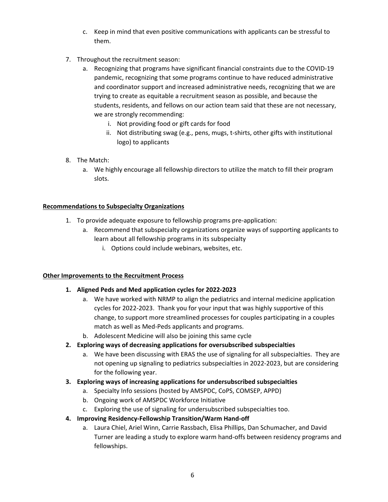- c. Keep in mind that even positive communications with applicants can be stressful to them.
- 7. Throughout the recruitment season:
	- a. Recognizing that programs have significant financial constraints due to the COVID‐19 pandemic, recognizing that some programs continue to have reduced administrative and coordinator support and increased administrative needs, recognizing that we are trying to create as equitable a recruitment season as possible, and because the students, residents, and fellows on our action team said that these are not necessary, we are strongly recommending:
		- i. Not providing food or gift cards for food
		- ii. Not distributing swag (e.g., pens, mugs, t‐shirts, other gifts with institutional logo) to applicants
- 8. The Match:
	- a. We highly encourage all fellowship directors to utilize the match to fill their program slots.

### **Recommendations to Subspecialty Organizations**

- 1. To provide adequate exposure to fellowship programs pre‐application:
	- a. Recommend that subspecialty organizations organize ways of supporting applicants to learn about all fellowship programs in its subspecialty
		- i. Options could include webinars, websites, etc.

### **Other Improvements to the Recruitment Process**

### **1. Aligned Peds and Med application cycles for 2022‐2023**

- a. We have worked with NRMP to align the pediatrics and internal medicine application cycles for 2022‐2023. Thank you for your input that was highly supportive of this change, to support more streamlined processes for couples participating in a couples match as well as Med‐Peds applicants and programs.
- b. Adolescent Medicine will also be joining this same cycle
- **2. Exploring ways of decreasing applications for oversubscribed subspecialties**
	- a. We have been discussing with ERAS the use of signaling for all subspecialties. They are not opening up signaling to pediatrics subspecialties in 2022‐2023, but are considering for the following year.

### **3. Exploring ways of increasing applications for undersubscribed subspecialties**

- a. Specialty Info sessions (hosted by AMSPDC, CoPS, COMSEP, APPD)
- b. Ongoing work of AMSPDC Workforce Initiative
- c. Exploring the use of signaling for undersubscribed subspecialties too.
- **4. Improving Residency‐Fellowship Transition/Warm Hand‐off**
	- a. Laura Chiel, Ariel Winn, Carrie Rassbach, Elisa Phillips, Dan Schumacher, and David Turner are leading a study to explore warm hand‐offs between residency programs and fellowships.